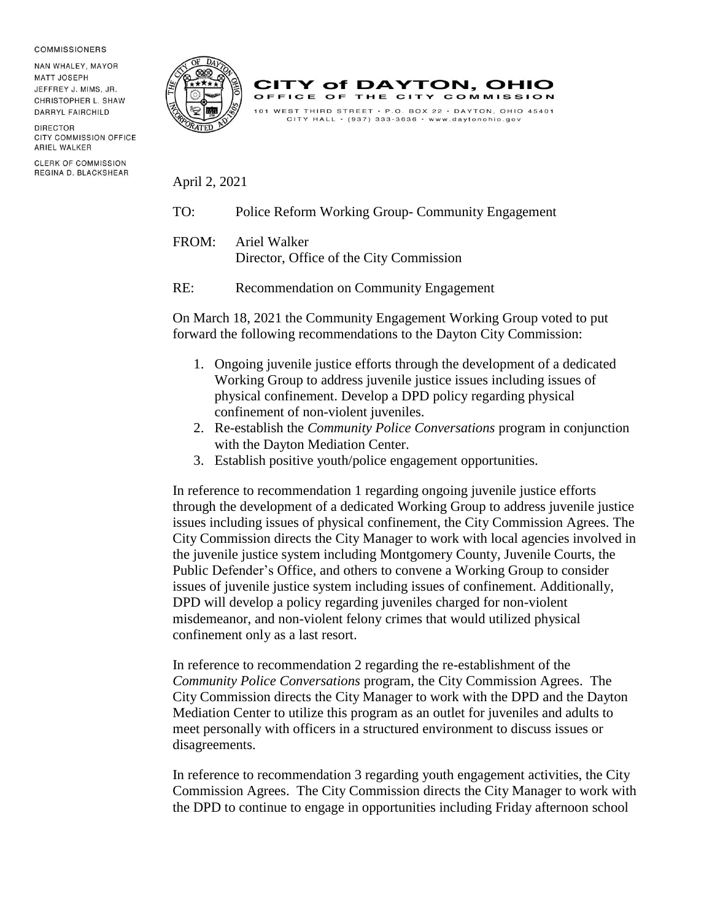## **COMMISSIONERS**

NAN WHALEY, MAYOR MATT JOSEPH JEFFREY J. MIMS, JR. CHRISTOPHER L. SHAW **DARRYL FAIRCHILD** 

**DIRECTOR** CITY COMMISSION OFFICE **ARIEL WALKER** 

**CLERK OF COMMISSION** REGINA D. BLACKSHEAR





April 2, 2021

- TO: Police Reform Working Group- Community Engagement
- FROM: Ariel Walker Director, Office of the City Commission
- RE: Recommendation on Community Engagement

On March 18, 2021 the Community Engagement Working Group voted to put forward the following recommendations to the Dayton City Commission:

- 1. Ongoing juvenile justice efforts through the development of a dedicated Working Group to address juvenile justice issues including issues of physical confinement. Develop a DPD policy regarding physical confinement of non-violent juveniles.
- 2. Re-establish the *Community Police Conversations* program in conjunction with the Dayton Mediation Center.
- 3. Establish positive youth/police engagement opportunities.

In reference to recommendation 1 regarding ongoing juvenile justice efforts through the development of a dedicated Working Group to address juvenile justice issues including issues of physical confinement, the City Commission Agrees. The City Commission directs the City Manager to work with local agencies involved in the juvenile justice system including Montgomery County, Juvenile Courts, the Public Defender's Office, and others to convene a Working Group to consider issues of juvenile justice system including issues of confinement. Additionally, DPD will develop a policy regarding juveniles charged for non-violent misdemeanor, and non-violent felony crimes that would utilized physical confinement only as a last resort.

In reference to recommendation 2 regarding the re-establishment of the *Community Police Conversations* program, the City Commission Agrees. The City Commission directs the City Manager to work with the DPD and the Dayton Mediation Center to utilize this program as an outlet for juveniles and adults to meet personally with officers in a structured environment to discuss issues or disagreements.

In reference to recommendation 3 regarding youth engagement activities, the City Commission Agrees. The City Commission directs the City Manager to work with the DPD to continue to engage in opportunities including Friday afternoon school